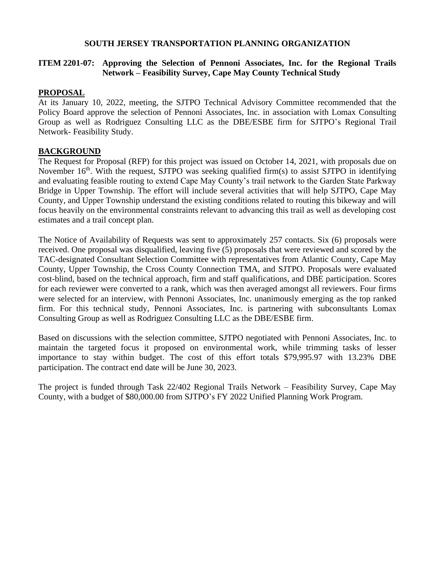### **SOUTH JERSEY TRANSPORTATION PLANNING ORGANIZATION**

### **ITEM 2201-07: Approving the Selection of Pennoni Associates, Inc. for the Regional Trails Network – Feasibility Survey, Cape May County Technical Study**

### **PROPOSAL**

At its January 10, 2022, meeting, the SJTPO Technical Advisory Committee recommended that the Policy Board approve the selection of Pennoni Associates, Inc. in association with Lomax Consulting Group as well as Rodriguez Consulting LLC as the DBE/ESBE firm for SJTPO's Regional Trail Network- Feasibility Study.

### **BACKGROUND**

The Request for Proposal (RFP) for this project was issued on October 14, 2021, with proposals due on November  $16<sup>th</sup>$ . With the request, SJTPO was seeking qualified firm(s) to assist SJTPO in identifying and evaluating feasible routing to extend Cape May County's trail network to the Garden State Parkway Bridge in Upper Township. The effort will include several activities that will help SJTPO, Cape May County, and Upper Township understand the existing conditions related to routing this bikeway and will focus heavily on the environmental constraints relevant to advancing this trail as well as developing cost estimates and a trail concept plan.

The Notice of Availability of Requests was sent to approximately 257 contacts. Six (6) proposals were received. One proposal was disqualified, leaving five (5) proposals that were reviewed and scored by the TAC-designated Consultant Selection Committee with representatives from Atlantic County, Cape May County, Upper Township, the Cross County Connection TMA, and SJTPO. Proposals were evaluated cost-blind, based on the technical approach, firm and staff qualifications, and DBE participation. Scores for each reviewer were converted to a rank, which was then averaged amongst all reviewers. Four firms were selected for an interview, with Pennoni Associates, Inc. unanimously emerging as the top ranked firm. For this technical study, Pennoni Associates, Inc. is partnering with subconsultants Lomax Consulting Group as well as Rodriguez Consulting LLC as the DBE/ESBE firm.

Based on discussions with the selection committee, SJTPO negotiated with Pennoni Associates, Inc. to maintain the targeted focus it proposed on environmental work, while trimming tasks of lesser importance to stay within budget. The cost of this effort totals \$79,995.97 with 13.23% DBE participation. The contract end date will be June 30, 2023.

The project is funded through Task 22/402 Regional Trails Network – Feasibility Survey, Cape May County, with a budget of \$80,000.00 from SJTPO's FY 2022 Unified Planning Work Program.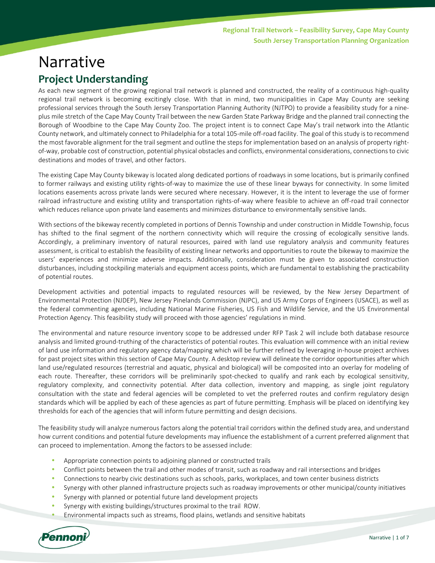# Narrative **Project Understanding**

As each new segment of the growing regional trail network is planned and constructed, the reality of a continuous high-quality regional trail network is becoming excitingly close. With that in mind, two municipalities in Cape May County are seeking professional services through the South Jersey Transportation Planning Authority (NJTPO) to provide a feasibility study for a nineplus mile stretch of the Cape May County Trail between the new Garden State Parkway Bridge and the planned trail connecting the Borough of Woodbine to the Cape May County Zoo. The project intent is to connect Cape May's trail network into the Atlantic County network, and ultimately connect to Philadelphia for a total 105-mile off-road facility. The goal of this study is to recommend the most favorable alignment for the trail segment and outline the steps for implementation based on an analysis of property rightof-way, probable cost of construction, potential physical obstacles and conflicts, environmental considerations, connections to civic destinations and modes of travel, and other factors.

The existing Cape May County bikeway is located along dedicated portions of roadways in some locations, but is primarily confined to former railways and existing utility rights-of-way to maximize the use of these linear byways for connectivity. In some limited locations easements across private lands were secured where necessary. However, it is the intent to leverage the use of former railroad infrastructure and existing utility and transportation rights-of-way where feasible to achieve an off-road trail connector which reduces reliance upon private land easements and minimizes disturbance to environmentally sensitive lands.

With sections of the bikeway recently completed in portions of Dennis Township and under construction in Middle Township, focus has shifted to the final segment of the northern connectivity which will require the crossing of ecologically sensitive lands. Accordingly, a preliminary inventory of natural resources, paired with land use regulatory analysis and community features assessment, is critical to establish the feasibility of existing linear networks and opportunities to route the bikeway to maximize the users' experiences and minimize adverse impacts. Additionally, consideration must be given to associated construction disturbances, including stockpiling materials and equipment access points, which are fundamental to establishing the practicability of potential routes.

Development activities and potential impacts to regulated resources will be reviewed, by the New Jersey Department of Environmental Protection (NJDEP), New Jersey Pinelands Commission (NJPC), and US Army Corps of Engineers (USACE), as well as the federal commenting agencies, including National Marine Fisheries, US Fish and Wildlife Service, and the US Environmental Protection Agency. This feasibility study will proceed with those agencies' regulations in mind.

The environmental and nature resource inventory scope to be addressed under RFP Task 2 will include both database resource analysis and limited ground-truthing of the characteristics of potential routes. This evaluation will commence with an initial review of land use information and regulatory agency data/mapping which will be further refined by leveraging in-house project archives for past project sites within this section of Cape May County. A desktop review will delineate the corridor opportunities after which land use/regulated resources (terrestrial and aquatic, physical and biological) will be composited into an overlay for modeling of each route. Thereafter, these corridors will be preliminarily spot-checked to qualify and rank each by ecological sensitivity, regulatory complexity, and connectivity potential. After data collection, inventory and mapping, as single joint regulatory consultation with the state and federal agencies will be completed to vet the preferred routes and confirm regulatory design standards which will be applied by each of these agencies as part of future permitting. Emphasis will be placed on identifying key thresholds for each of the agencies that will inform future permitting and design decisions.

The feasibility study will analyze numerous factors along the potential trail corridors within the defined study area, and understand how current conditions and potential future developments may influence the establishment of a current preferred alignment that can proceed to implementation. Among the factors to be assessed include:

- Appropriate connection points to adjoining planned or constructed trails
- Conflict points between the trail and other modes of transit, such as roadway and rail intersections and bridges
- Connections to nearby civic destinations such as schools, parks, workplaces, and town center business districts
- Synergy with other planned infrastructure projects such as roadway improvements or other municipal/county initiatives
- Synergy with planned or potential future land development projects
- Synergy with existing buildings/structures proximal to the trail ROW.
- Environmental impacts such as streams, flood plains, wetlands and sensitive habitats

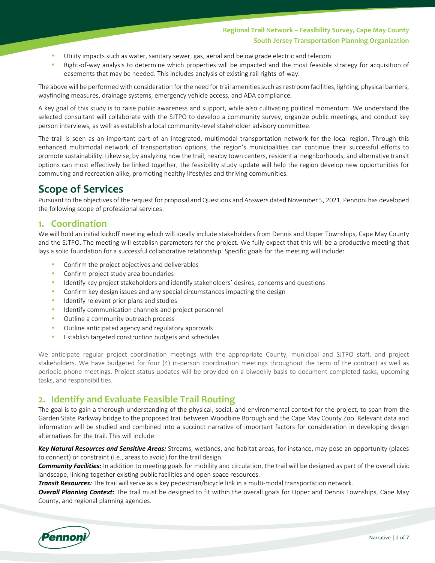### **Regional Trail Network – Feasibility Survey, Cape May County South Jersey Transportation Planning Organization**

- Utility impacts such as water, sanitary sewer, gas, aerial and below grade electric and telecom
- Right-of-way analysis to determine which properties will be impacted and the most feasible strategy for acquisition of easements that may be needed. This includes analysis of existing rail rights-of-way.

The above will be performed with consideration for the need for trail amenities such as restroom facilities, lighting, physical barriers, wayfinding measures, drainage systems, emergency vehicle access, and ADA compliance.

A key goal of this study is to raise public awareness and support, while also cultivating political momentum. We understand the selected consultant will collaborate with the SJTPO to develop a community survey, organize public meetings, and conduct key person interviews, as well as establish a local community-level stakeholder advisory committee.

The trail is seen as an important part of an integrated, multimodal transportation network for the local region. Through this enhanced multimodal network of transportation options, the region's municipalities can continue their successful efforts to promote sustainability. Likewise, by analyzing how the trail, nearby town centers, residential neighborhoods, and alternative transit options can most effectively be linked together, the feasibility study update will help the region develop new opportunities for commuting and recreation alike, promoting healthy lifestyles and thriving communities.

# **Scope of Services**

Pursuant to the objectives of the request for proposal and Questions and Answers dated November 5, 2021, Pennoni has developed the following scope of professional services:

### **1. Coordination**

We will hold an initial kickoff meeting which will ideally include stakeholders from Dennis and Upper Townships, Cape May County and the SJTPO. The meeting will establish parameters for the project. We fully expect that this will be a productive meeting that lays a solid foundation for a successful collaborative relationship. Specific goals for the meeting will include:

- Confirm the project objectives and deliverables
- Confirm project study area boundaries
- Identify key project stakeholders and identify stakeholders' desires, concerns and questions
- Confirm key design issues and any special circumstances impacting the design
- Identify relevant prior plans and studies
- Identify communication channels and project personnel
- Outline a community outreach process
- Outline anticipated agency and regulatory approvals
- Establish targeted construction budgets and schedules

We anticipate regular project coordination meetings with the appropriate County, municipal and SJTPO staff, and project stakeholders. We have budgeted for four (4) in-person coordination meetings throughout the term of the contract as well as periodic phone meetings. Project status updates will be provided on a biweekly basis to document completed tasks, upcoming tasks, and responsibilities.

### **2. Identify and Evaluate Feasible Trail Routing**

The goal is to gain a thorough understanding of the physical, social, and environmental context for the project, to span from the Garden State Parkway bridge to the proposed trail between Woodbine Borough and the Cape May County Zoo. Relevant data and information will be studied and combined into a succinct narrative of important factors for consideration in developing design alternatives for the trail. This will include:

*Key Natural Resources and Sensitive Areas:* Streams, wetlands, and habitat areas, for instance, may pose an opportunity (places to connect) or constraint (i.e., areas to avoid) for the trail design.

*Community Facilities:* In addition to meeting goals for mobility and circulation, the trail will be designed as part of the overall civic landscape, linking together existing public facilities and open space resources.

*Transit Resources:* The trail will serve as a key pedestrian/bicycle link in a multi-modal transportation network.

*Overall Planning Context:* The trail must be designed to fit within the overall goals for Upper and Dennis Townships, Cape May County, and regional planning agencies.

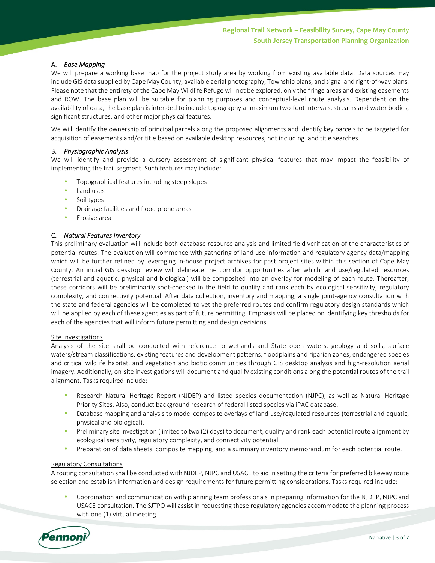#### A. *Base Mapping*

We will prepare a working base map for the project study area by working from existing available data. Data sources may include GIS data supplied by Cape May County, available aerial photography, Township plans, and signal and right-of-way plans. Please note that the entirety of the Cape May Wildlife Refuge will not be explored, only the fringe areas and existing easements and ROW. The base plan will be suitable for planning purposes and conceptual-level route analysis. Dependent on the availability of data, the base plan is intended to include topography at maximum two-foot intervals, streams and water bodies, significant structures, and other major physical features.

We will identify the ownership of principal parcels along the proposed alignments and identify key parcels to be targeted for acquisition of easements and/or title based on available desktop resources, not including land title searches.

#### B. *Physiographic Analysis*

We will identify and provide a cursory assessment of significant physical features that may impact the feasibility of implementing the trail segment. Such features may include:

- Topographical features including steep slopes
- Land uses
- Soil types
- Drainage facilities and flood prone areas
- Erosive area

#### C. *Natural Features Inventory*

This preliminary evaluation will include both database resource analysis and limited field verification of the characteristics of potential routes. The evaluation will commence with gathering of land use information and regulatory agency data/mapping which will be further refined by leveraging in-house project archives for past project sites within this section of Cape May County. An initial GIS desktop review will delineate the corridor opportunities after which land use/regulated resources (terrestrial and aquatic, physical and biological) will be composited into an overlay for modeling of each route. Thereafter, these corridors will be preliminarily spot-checked in the field to qualify and rank each by ecological sensitivity, regulatory complexity, and connectivity potential. After data collection, inventory and mapping, a single joint-agency consultation with the state and federal agencies will be completed to vet the preferred routes and confirm regulatory design standards which will be applied by each of these agencies as part of future permitting. Emphasis will be placed on identifying key thresholds for each of the agencies that will inform future permitting and design decisions.

#### Site Investigations

Analysis of the site shall be conducted with reference to wetlands and State open waters, geology and soils, surface waters/stream classifications, existing features and development patterns, floodplains and riparian zones, endangered species and critical wildlife habitat, and vegetation and biotic communities through GIS desktop analysis and high-resolution aerial imagery. Additionally, on-site investigations will document and qualify existing conditions along the potential routes of the trail alignment. Tasks required include:

- Research Natural Heritage Report (NJDEP) and listed species documentation (NJPC), as well as Natural Heritage Priority Sites. Also, conduct background research of federal listed species via iPAC database.
- Database mapping and analysis to model composite overlays of land use/regulated resources (terrestrial and aquatic, physical and biological).
- Preliminary site investigation (limited to two (2) days) to document, qualify and rank each potential route alignment by ecological sensitivity, regulatory complexity, and connectivity potential.
- Preparation of data sheets, composite mapping, and a summary inventory memorandum for each potential route.

#### Regulatory Consultations

A routing consultation shall be conducted with NJDEP, NJPC and USACE to aid in setting the criteria for preferred bikeway route selection and establish information and design requirements for future permitting considerations. Tasks required include:

• Coordination and communication with planning team professionals in preparing information for the NJDEP, NJPC and USACE consultation. The SJTPO will assist in requesting these regulatory agencies accommodate the planning process with one (1) virtual meeting

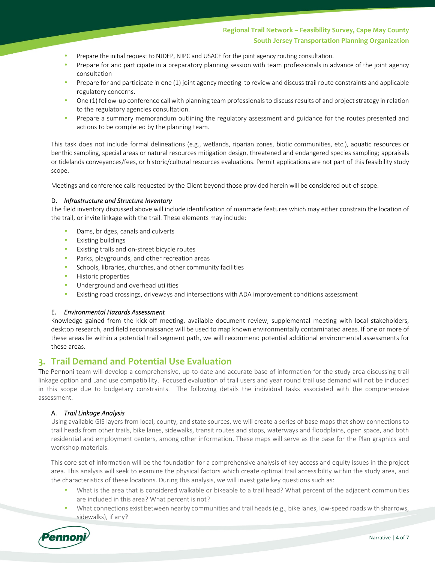### **Regional Trail Network – Feasibility Survey, Cape May County South Jersey Transportation Planning Organization**

- Prepare the initial request to NJDEP, NJPC and USACE for the joint agency routing consultation.
- Prepare for and participate in a preparatory planning session with team professionals in advance of the joint agency consultation
- Prepare for and participate in one (1) joint agency meeting to review and discuss trail route constraints and applicable regulatory concerns.
- One (1) follow-up conference call with planning team professionals to discuss results of and project strategy in relation to the regulatory agencies consultation.
- Prepare a summary memorandum outlining the regulatory assessment and guidance for the routes presented and actions to be completed by the planning team.

This task does not include formal delineations (e.g., wetlands, riparian zones, biotic communities, etc.), aquatic resources or benthic sampling, special areas or natural resources mitigation design, threatened and endangered species sampling; appraisals or tidelands conveyances/fees, or historic/cultural resources evaluations. Permit applications are not part of this feasibility study scope.

Meetings and conference calls requested by the Client beyond those provided herein will be considered out-of-scope.

#### D. *Infrastructure and Structure Inventory*

The field inventory discussed above will include identification of manmade features which may either constrain the location of the trail, or invite linkage with the trail. These elements may include:

- Dams, bridges, canals and culverts
- Existing buildings
- Existing trails and on-street bicycle routes
- Parks, playgrounds, and other recreation areas
- Schools, libraries, churches, and other community facilities
- Historic properties
- Underground and overhead utilities
- Existing road crossings, driveways and intersections with ADA improvement conditions assessment

#### E. *Environmental Hazards Assessment*

Knowledge gained from the kick-off meeting, available document review, supplemental meeting with local stakeholders, desktop research, and field reconnaissance will be used to map known environmentally contaminated areas. If one or more of these areas lie within a potential trail segment path, we will recommend potential additional environmental assessments for these areas.

### **3. Trail Demand and Potential Use Evaluation**

The Pennoni team will develop a comprehensive, up-to-date and accurate base of information for the study area discussing trail linkage option and Land use compatibility. Focused evaluation of trail users and year round trail use demand will not be included in this scope due to budgetary constraints. The following details the individual tasks associated with the comprehensive assessment.

#### A. *Trail Linkage Analysis*

Using available GIS layers from local, county, and state sources, we will create a series of base maps that show connections to trail heads from other trails, bike lanes, sidewalks, transit routes and stops, waterways and floodplains, open space, and both residential and employment centers, among other information. These maps will serve as the base for the Plan graphics and workshop materials.

This core set of information will be the foundation for a comprehensive analysis of key access and equity issues in the project area. This analysis will seek to examine the physical factors which create optimal trail accessibility within the study area, and the characteristics of these locations. During this analysis, we will investigate key questions such as:

- What is the area that is considered walkable or bikeable to a trail head? What percent of the adjacent communities are included in this area? What percent is not?
- What connections exist between nearby communities and trail heads (e.g., bike lanes, low-speed roads with sharrows, sidewalks), if any?

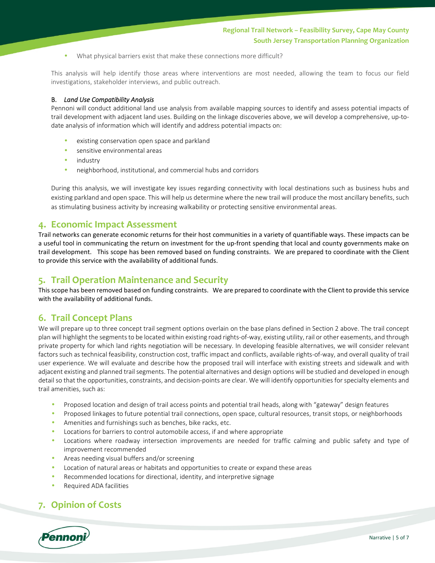• What physical barriers exist that make these connections more difficult?

This analysis will help identify those areas where interventions are most needed, allowing the team to focus our field investigations, stakeholder interviews, and public outreach.

#### B. *Land Use Compatibility Analysis*

Pennoni will conduct additional land use analysis from available mapping sources to identify and assess potential impacts of trail development with adjacent land uses. Building on the linkage discoveries above, we will develop a comprehensive, up-todate analysis of information which will identify and address potential impacts on:

- existing conservation open space and parkland
- sensitive environmental areas
- industry
- neighborhood, institutional, and commercial hubs and corridors

During this analysis, we will investigate key issues regarding connectivity with local destinations such as business hubs and existing parkland and open space. This will help us determine where the new trail will produce the most ancillary benefits, such as stimulating business activity by increasing walkability or protecting sensitive environmental areas.

### **4. Economic Impact Assessment**

Trail networks can generate economic returns for their host communities in a variety of quantifiable ways. These impacts can be a useful tool in communicating the return on investment for the up-front spending that local and county governments make on trail development. This scope has been removed based on funding constraints. We are prepared to coordinate with the Client to provide this service with the availability of additional funds.

### **5. Trail Operation Maintenance and Security**

This scope has been removed based on funding constraints. We are prepared to coordinate with the Client to provide this service with the availability of additional funds.

### **6. Trail Concept Plans**

We will prepare up to three concept trail segment options overlain on the base plans defined in Section 2 above. The trail concept plan will highlight the segments to be located within existing road rights-of-way, existing utility, rail or other easements, and through private property for which land rights negotiation will be necessary. In developing feasible alternatives, we will consider relevant factors such as technical feasibility, construction cost, traffic impact and conflicts, available rights-of-way, and overall quality of trail user experience. We will evaluate and describe how the proposed trail will interface with existing streets and sidewalk and with adjacent existing and planned trail segments. The potential alternatives and design options will be studied and developed in enough detail so that the opportunities, constraints, and decision-points are clear. We will identify opportunities for specialty elements and trail amenities, such as:

- Proposed location and design of trail access points and potential trail heads, along with "gateway" design features
- Proposed linkages to future potential trail connections, open space, cultural resources, transit stops, or neighborhoods
- Amenities and furnishings such as benches, bike racks, etc.
- Locations for barriers to control automobile access, if and where appropriate
- Locations where roadway intersection improvements are needed for traffic calming and public safety and type of improvement recommended
- Areas needing visual buffers and/or screening
- Location of natural areas or habitats and opportunities to create or expand these areas
- Recommended locations for directional, identity, and interpretive signage
- Required ADA facilities

## **7. Opinion of Costs**

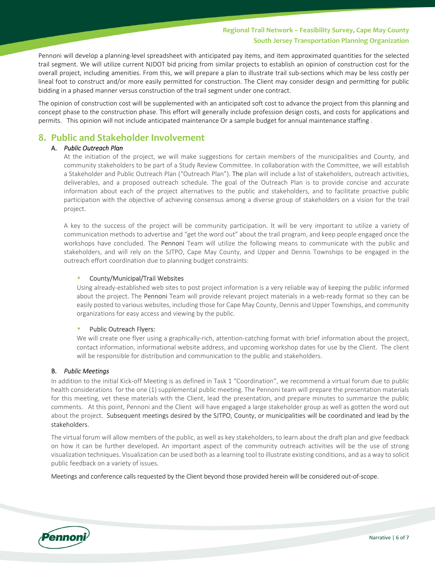### **Regional Trail Network – Feasibility Survey, Cape May County South Jersey Transportation Planning Organization**

Pennoni will develop a planning-level spreadsheet with anticipated pay items, and item approximated quantities for the selected trail segment. We will utilize current NJDOT bid pricing from similar projects to establish an opinion of construction cost for the overall project, including amenities. From this, we will prepare a plan to illustrate trail sub-sections which may be less costly per lineal foot to construct and/or more easily permitted for construction. The Client may consider design and permitting for public bidding in a phased manner versus construction of the trail segment under one contract.

The opinion of construction cost will be supplemented with an anticipated soft cost to advance the project from this planning and concept phase to the construction phase. This effort will generally include profession design costs, and costs for applications and permits. This opinion will not include anticipated maintenance Or a sample budget for annual maintenance staffing .

### **8. Public and Stakeholder Involvement**

#### A. *Public Outreach Plan*

At the initiation of the project, we will make suggestions for certain members of the municipalities and County, and community stakeholders to be part of a Study Review Committee. In collaboration with the Committee, we will establish a Stakeholder and Public Outreach Plan ("Outreach Plan"). The plan will include a list of stakeholders, outreach activities, deliverables, and a proposed outreach schedule. The goal of the Outreach Plan is to provide concise and accurate information about each of the project alternatives to the public and stakeholders, and to facilitate proactive public participation with the objective of achieving consensus among a diverse group of stakeholders on a vision for the trail project.

A key to the success of the project will be community participation. It will be very important to utilize a variety of communication methods to advertise and "get the word out" about the trail program, and keep people engaged once the workshops have concluded. The Pennoni Team will utilize the following means to communicate with the public and stakeholders, and will rely on the SJTPO, Cape May County, and Upper and Dennis Townships to be engaged in the outreach effort coordination due to planning budget constraints:

#### • County/Municipal/Trail Websites

Using already-established web sites to post project information is a very reliable way of keeping the public informed about the project. The Pennoni Team will provide relevant project materials in a web-ready format so they can be easily posted to various websites, including those for Cape May County, Dennis and Upper Townships, and community organizations for easy access and viewing by the public.

#### • Public Outreach Flyers:

We will create one flyer using a graphically-rich, attention-catching format with brief information about the project, contact information, informational website address, and upcoming workshop dates for use by the Client. The client will be responsible for distribution and communication to the public and stakeholders.

#### B. *Public Meetings*

In addition to the initial Kick-off Meeting is as defined in Task 1 "Coordination", we recommend a virtual forum due to public health considerations for the one (1) supplemental public meeting. The Pennoni team will prepare the presentation materials for this meeting, vet these materials with the Client, lead the presentation, and prepare minutes to summarize the public comments. At this point, Pennoni and the Client will have engaged a large stakeholder group as well as gotten the word out about the project. Subsequent meetings desired by the SJTPO, County, or municipalities will be coordinated and lead by the stakeholders.

The virtual forum will allow members of the public, as well as key stakeholders, to learn about the draft plan and give feedback on how it can be further developed. An important aspect of the community outreach activities will be the use of strong visualization techniques. Visualization can be used both as a learning tool to illustrate existing conditions, and as a way to solicit public feedback on a variety of issues.

Meetings and conference calls requested by the Client beyond those provided herein will be considered out-of-scope.

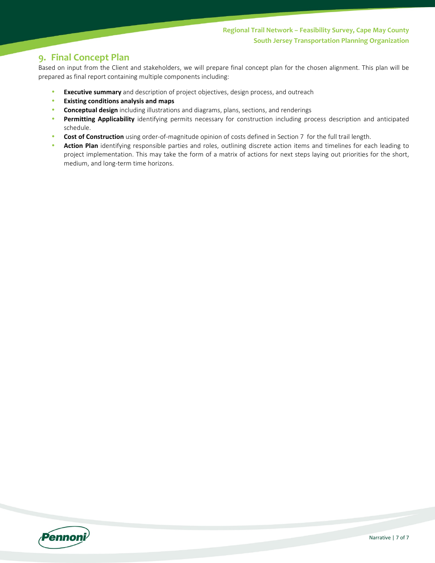# **9. Final Concept Plan**

Based on input from the Client and stakeholders, we will prepare final concept plan for the chosen alignment. This plan will be prepared as final report containing multiple components including:

- **Executive summary** and description of project objectives, design process, and outreach
- **Existing conditions analysis and maps**
- **Conceptual design** including illustrations and diagrams, plans, sections, and renderings
- **Permitting Applicability** identifying permits necessary for construction including process description and anticipated schedule.
- **Cost of Construction** using order-of-magnitude opinion of costs defined in Section 7 for the full trail length.
- **Action Plan** identifying responsible parties and roles, outlining discrete action items and timelines for each leading to project implementation. This may take the form of a matrix of actions for next steps laying out priorities for the short, medium, and long-term time horizons.

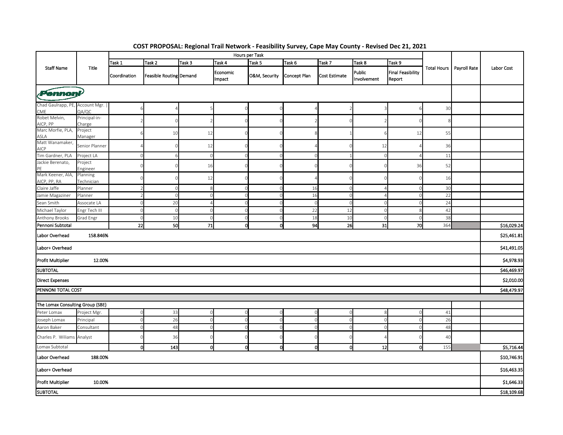| COST PROPOSAL: Regional Trail Network - Feasibility Survey, Cape May County - Revised Dec 21, 2021         |                         |              |                         |                |                    |               |              |                      |                       |                                    |             |                            |             |
|------------------------------------------------------------------------------------------------------------|-------------------------|--------------|-------------------------|----------------|--------------------|---------------|--------------|----------------------|-----------------------|------------------------------------|-------------|----------------------------|-------------|
| <b>Staff Name</b>                                                                                          | Title                   |              |                         | Hours per Task |                    |               |              |                      |                       |                                    |             |                            |             |
|                                                                                                            |                         | Task 1       | Task 2                  | Task 3         | Task 4             | Task 5        | Task 6       | Task 7               | Task 8                | Task 9                             |             | Total Hours   Payroll Rate | Labor Cost  |
|                                                                                                            |                         | Coordination | Feasible Routing Demand |                | Economic<br>Impact | O&M, Security | Concept Plan | <b>Cost Estimate</b> | Public<br>Involvement | <b>Final Feasibility</b><br>Report |             |                            |             |
| $\boldsymbol{P}$ ennonj $\boldsymbol{V}$                                                                   |                         |              |                         |                |                    |               |              |                      |                       |                                    |             |                            |             |
| Chad Gaulrapp, PE,<br><b>CME</b>                                                                           | Account Mgr.<br>QA/QC   |              |                         |                |                    |               |              |                      |                       |                                    | 30          |                            |             |
| Robet Melvin,                                                                                              | Principal-in-<br>Charge |              |                         |                |                    |               |              |                      |                       |                                    |             |                            |             |
| AICP, PP<br>Marc Morfie, PLA,                                                                              | Project<br>Manager      |              | 10                      | 12             |                    |               |              |                      |                       | 12                                 | 55          |                            |             |
| ASLA<br>Matt Wanamaker,<br>AICP                                                                            | Senior Planner          |              |                         | 12             |                    |               |              |                      | 12                    |                                    | 36          |                            |             |
| Tim Gardner, PLA                                                                                           | Project LA              |              |                         | $\cap$         | $\Omega$           |               |              |                      |                       |                                    | 11          |                            |             |
| Jackie Berenato,                                                                                           | Project                 |              |                         | 16             |                    |               |              |                      |                       | 36                                 | 52          |                            |             |
| Mark Keener, AIA,                                                                                          | Engineer<br>Planning    |              |                         |                |                    |               |              |                      |                       |                                    |             |                            |             |
| AICP, PP, RA                                                                                               | Technician              |              |                         | 12             |                    |               |              |                      |                       |                                    | 16          |                            |             |
| Claire Jaffe                                                                                               | Planner                 |              |                         | s              | $\Omega$           |               | 16           | $\Omega$             |                       |                                    | 30          |                            |             |
| Jamie Magaziner                                                                                            | Planner                 |              |                         |                | $\mathbf 0$        |               | 16           | $\Omega$             |                       |                                    | 22          |                            |             |
| Sean Smith                                                                                                 | Assocate LA             |              | 20                      |                | $\Omega$           |               |              |                      |                       |                                    | 24          |                            |             |
| Michael Taylor                                                                                             | Engr Tech III           |              | C                       |                | $\mathbf 0$        |               | 22           | 12                   |                       |                                    | 42          |                            |             |
| Anthony Brooks                                                                                             | Grad Engr               | $\Omega$     | 10                      | -0             | $\circ$            |               | 18           | 10                   |                       |                                    | 38          |                            | \$16,029.24 |
| Pennoni Subtotal<br>22<br>50<br>71<br>οl<br>94<br>26<br>31<br>70<br>364<br>Ω<br>Labor Overhead<br>158.846% |                         |              |                         |                |                    |               |              |                      |                       |                                    | \$25,461.81 |                            |             |
| Labor+ Overhead                                                                                            |                         |              |                         |                |                    |               |              |                      |                       |                                    |             |                            | \$41,491.05 |
| <b>Profit Multiplier</b>                                                                                   | 12.00%                  |              |                         |                |                    |               |              |                      |                       |                                    |             |                            | \$4,978.93  |
| <b>SUBTOTAL</b>                                                                                            |                         |              |                         |                |                    |               |              |                      |                       |                                    |             |                            | \$46,469.97 |
| <b>Direct Expenses</b>                                                                                     |                         |              |                         |                |                    |               |              |                      |                       |                                    |             | \$2,010.00                 |             |
| PENNONI TOTAL COST                                                                                         |                         |              |                         |                |                    |               |              |                      |                       |                                    |             |                            | \$48,479.97 |
|                                                                                                            |                         |              |                         |                |                    |               |              |                      |                       |                                    |             |                            |             |
| The Lomax Consulting Group (SBE)                                                                           |                         |              |                         |                |                    |               |              |                      |                       |                                    |             |                            |             |
| Peter Lomax                                                                                                | Project Mgr.            |              | 33                      |                | $\Omega$           |               |              |                      |                       |                                    | 41          |                            |             |
| Joseph Lomax                                                                                               | Principal               | O            | 26                      |                | $\mathbf 0$        |               |              | $\circ$              |                       |                                    | 26          |                            |             |
| Aaron Baker                                                                                                | Consultant              |              | 48                      |                | $\mathbf 0$        |               |              | $\Omega$             |                       |                                    | 48          |                            |             |
| Charles P. Wiliams Analyst                                                                                 |                         |              | 36                      |                | $\Omega$           |               |              |                      |                       |                                    | 40          |                            |             |
| Lomax Subtotal<br>$\overline{0}$<br>143<br>$\circ$<br>12<br>155<br>o<br>O<br>Ω                             |                         |              |                         |                |                    |               |              |                      |                       |                                    | \$5,716.44  |                            |             |
| Labor Overhead<br>188.00%                                                                                  |                         |              |                         |                |                    |               |              |                      |                       | \$10,746.91                        |             |                            |             |
| Labor+ Overhead                                                                                            |                         |              |                         |                |                    |               |              |                      |                       |                                    | \$16,463.35 |                            |             |
| Profit Multiplier<br>10.00%                                                                                |                         |              |                         |                |                    |               |              |                      |                       | \$1,646.33                         |             |                            |             |
| <b>SUBTOTAL</b>                                                                                            |                         |              |                         |                |                    |               |              |                      |                       | \$18,109.68                        |             |                            |             |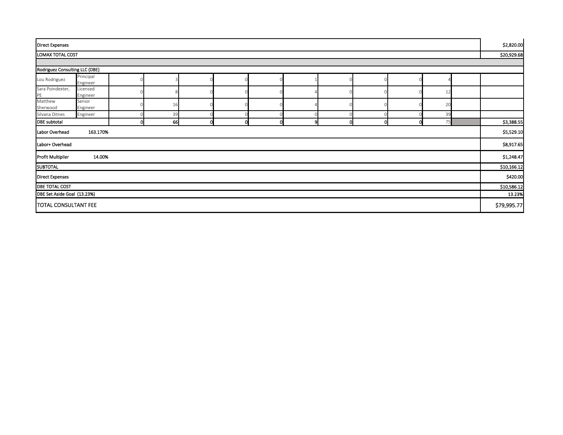| <b>Direct Expenses</b>         |                       |   |    |          |  |   |   |   |  |             | \$2,820.00  |            |
|--------------------------------|-----------------------|---|----|----------|--|---|---|---|--|-------------|-------------|------------|
| LOMAX TOTAL COST               |                       |   |    |          |  |   |   |   |  |             | \$20,929.68 |            |
|                                |                       |   |    |          |  |   |   |   |  |             |             |            |
| Rodriguez Consulting LLC (DBE) |                       |   |    |          |  |   |   |   |  |             |             |            |
| Lou Rodriguez                  | Principal<br>Engineer |   |    |          |  |   |   |   |  |             |             |            |
| Sara Poindexter,<br>PE         | Licensed<br>Engineer  |   |    |          |  |   |   |   |  | 12          |             |            |
| Matthew<br>Sherwood            | Senior<br>Engineer    |   | 16 |          |  |   |   |   |  | 20          |             |            |
| Silvana Ditnes                 | Engineer              |   | 39 |          |  |   |   |   |  | 39          |             |            |
| <b>DBE</b> subtotal            |                       | n | 66 | $\Omega$ |  | o | O | o |  | 75          |             | \$3,388.55 |
| 163.170%<br>Labor Overhead     |                       |   |    |          |  |   |   |   |  | \$5,529.10  |             |            |
| Labor+ Overhead                |                       |   |    |          |  |   |   |   |  |             | \$8,917.65  |            |
| 14.00%<br>Profit Multiplier    |                       |   |    |          |  |   |   |   |  | \$1,248.47  |             |            |
| <b>SUBTOTAL</b>                |                       |   |    |          |  |   |   |   |  |             | \$10,166.12 |            |
| <b>Direct Expenses</b>         |                       |   |    |          |  |   |   |   |  |             | \$420.00    |            |
| <b>DBE TOTAL COST</b>          |                       |   |    |          |  |   |   |   |  | \$10,586.12 |             |            |
| DBE Set Aside Goal (13.23%)    |                       |   |    |          |  |   |   |   |  | 13.23%      |             |            |
| TOTAL CONSULTANT FEE           |                       |   |    |          |  |   |   |   |  | \$79,995.77 |             |            |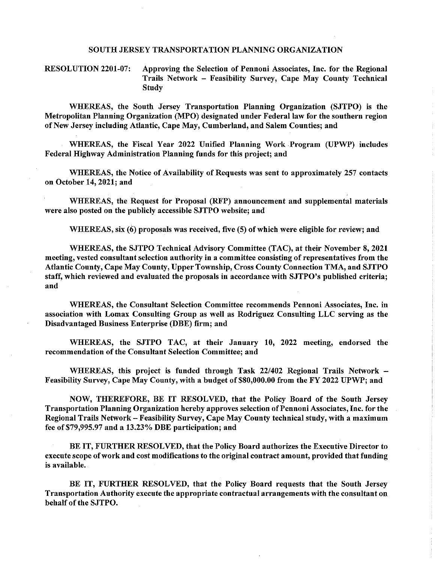#### SOUTH JERSEY TRANSPORTATION PLANNING ORGANIZATION

**RESOLUTION 2201-07:** Approving the Selection of Pennoni Associates, Inc. for the Regional Trails Network - Feasibility Survey, Cape May County Technical **Study** 

WHEREAS, the South Jersey Transportation Planning Organization (SJTPO) is the Metropolitan Planning Organization (MPO) designated under Federal law for the southern region of New Jersey including Atlantic, Cape May, Cumberland, and Salem Counties; and

WHEREAS, the Fiscal Year 2022 Unified Planning Work Program (UPWP) includes Federal Highway Administration Planning funds for this project: and

WHEREAS, the Notice of Availability of Requests was sent to approximately 257 contacts on October 14, 2021; and

WHEREAS, the Request for Proposal (RFP) announcement and supplemental materials were also posted on the publicly accessible SJTPO website; and

WHEREAS, six (6) proposals was received, five (5) of which were eligible for review; and

WHEREAS, the SJTPO Technical Advisory Committee (TAC), at their November 8, 2021 meeting, vested consultant selection authority in a committee consisting of representatives from the Atlantic County, Cape May County, Upper Township, Cross County Connection TMA, and SJTPO staff, which reviewed and evaluated the proposals in accordance with SJTPO's published criteria; and

WHEREAS, the Consultant Selection Committee recommends Pennoni Associates, Inc. in association with Lomax Consulting Group as well as Rodriguez Consulting LLC serving as the Disadvantaged Business Enterprise (DBE) firm; and

WHEREAS, the SJTPO TAC, at their January 10, 2022 meeting, endorsed the recommendation of the Consultant Selection Committee; and

WHEREAS, this project is funded through Task 22/402 Regional Trails Network – Feasibility Survey, Cape May County, with a budget of \$80,000.00 from the FY 2022 UPWP; and

NOW, THEREFORE, BE IT RESOLVED, that the Policy Board of the South Jersey Transportation Planning Organization hereby approves selection of Pennoni Associates, Inc. for the Regional Trails Network - Feasibility Survey, Cape May County technical study, with a maximum fee of \$79,995.97 and a 13.23% DBE participation; and

BE IT, FURTHER RESOLVED, that the Policy Board authorizes the Executive Director to execute scope of work and cost modifications to the original contract amount, provided that funding is available.

BE IT, FURTHER RESOLVED, that the Policy Board requests that the South Jersey Transportation Authority execute the appropriate contractual arrangements with the consultant on behalf of the SJTPO.